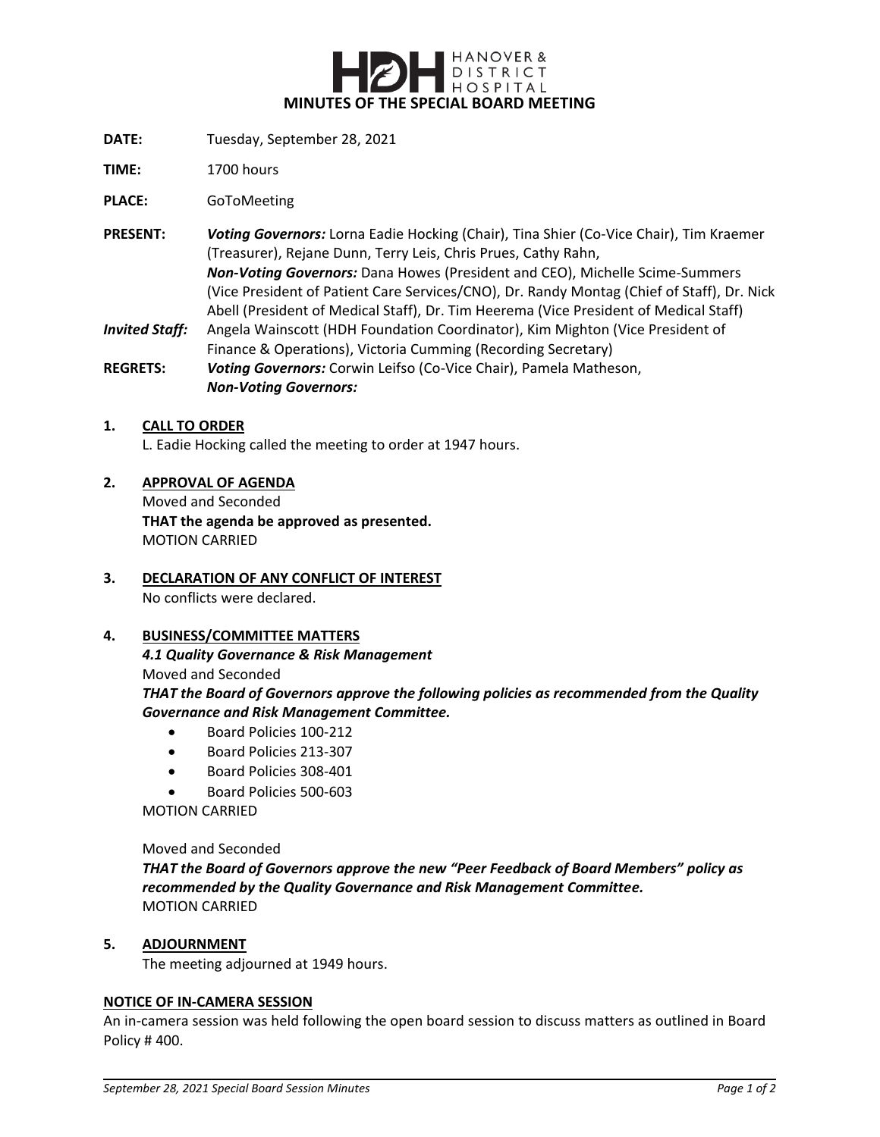

- **DATE:** Tuesday, September 28, 2021
- **TIME:** 1700 hours

**PLACE:** GoToMeeting

**PRESENT:** *Voting Governors:* Lorna Eadie Hocking (Chair), Tina Shier (Co-Vice Chair), Tim Kraemer (Treasurer), Rejane Dunn, Terry Leis, Chris Prues, Cathy Rahn, *Non-Voting Governors:* Dana Howes (President and CEO), Michelle Scime-Summers (Vice President of Patient Care Services/CNO), Dr. Randy Montag (Chief of Staff), Dr. Nick Abell (President of Medical Staff), Dr. Tim Heerema (Vice President of Medical Staff) *Invited Staff:* Angela Wainscott (HDH Foundation Coordinator), Kim Mighton (Vice President of

Finance & Operations), Victoria Cumming (Recording Secretary) **REGRETS:** *Voting Governors:* Corwin Leifso (Co-Vice Chair), Pamela Matheson,

*Non-Voting Governors:*

#### **1. CALL TO ORDER**

L. Eadie Hocking called the meeting to order at 1947 hours.

# **2. APPROVAL OF AGENDA**

Moved and Seconded **THAT the agenda be approved as presented.** MOTION CARRIED

# **3. DECLARATION OF ANY CONFLICT OF INTEREST** No conflicts were declared.

## **4. BUSINESS/COMMITTEE MATTERS**

*4.1 Quality Governance & Risk Management* Moved and Seconded *THAT the Board of Governors approve the following policies as recommended from the Quality Governance and Risk Management Committee.*

- Board Policies 100-212
- Board Policies 213-307
- Board Policies 308-401
- Board Policies 500-603

MOTION CARRIED

#### Moved and Seconded

*THAT the Board of Governors approve the new "Peer Feedback of Board Members" policy as recommended by the Quality Governance and Risk Management Committee.* MOTION CARRIED

### **5. ADJOURNMENT**

The meeting adjourned at 1949 hours.

### **NOTICE OF IN-CAMERA SESSION**

An in-camera session was held following the open board session to discuss matters as outlined in Board Policy # 400.